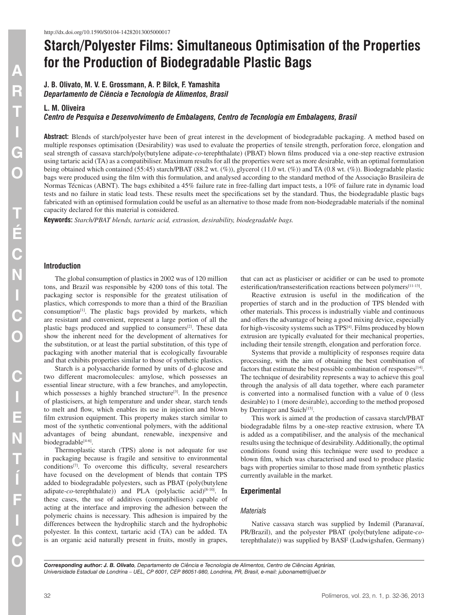# **Starch/Polyester Films: Simultaneous Optimisation of the Properties for the Production of Biodegradable Plastic Bags**

**J. B. Olivato, M. V. E. Grossmann, A. P. Bilck, F. Yamashita** *Departamento de Ciência e Tecnologia de Alimentos, Brasil*

# **L. M. Oliveira**

*Centro de Pesquisa e Desenvolvimento de Embalagens, Centro de Tecnologia em Embalagens, Brasil*

**Abstract:** Blends of starch/polyester have been of great interest in the development of biodegradable packaging. A method based on multiple responses optimisation (Desirability) was used to evaluate the properties of tensile strength, perforation force, elongation and seal strength of cassava starch/poly(butylene adipate-*co*-terephthalate) (PBAT) blown films produced via a one-step reactive extrusion using tartaric acid (TA) as a compatibiliser. Maximum results for all the properties were set as more desirable, with an optimal formulation being obtained which contained (55:45) starch/PBAT (88.2 wt. (%)), glycerol (11.0 wt. (%)) and TA (0.8 wt. (%)). Biodegradable plastic bags were produced using the film with this formulation, and analysed according to the standard method of the Associação Brasileira de Normas Técnicas (ABNT). The bags exhibited a 45% failure rate in free-falling dart impact tests, a 10% of failure rate in dynamic load tests and no failure in static load tests. These results meet the specifications set by the standard. Thus, the biodegradable plastic bags fabricated with an optimised formulation could be useful as an alternative to those made from non-biodegradable materials if the nominal capacity declared for this material is considered.

**Keywords:** *Starch/PBAT blends, tartaric acid, extrusion, desirability, biodegradable bags.*

#### **Introduction**

The global consumption of plastics in 2002 was of 120 million tons, and Brazil was responsible by 4200 tons of this total. The packaging sector is responsible for the greatest utilisation of plastics, which corresponds to more than a third of the Brazilian consumption[1]. The plastic bags provided by markets, which are resistant and convenient, represent a large portion of all the plastic bags produced and supplied to consumers<sup>[2]</sup>. These data show the inherent need for the development of alternatives for the substitution, or at least the partial substitution, of this type of packaging with another material that is ecologically favourable and that exhibits properties similar to those of synthetic plastics.

Starch is a polysaccharide formed by units of d-glucose and two different macromolecules: amylose, which possesses an essential linear structure, with a few branches, and amylopectin, which possesses a highly branched structure<sup>[3]</sup>. In the presence of plasticisers, at high temperature and under shear, starch tends to melt and flow, which enables its use in injection and blown film extrusion equipment. This property makes starch similar to most of the synthetic conventional polymers, with the additional advantages of being abundant, renewable, inexpensive and biodegradable[4-6].

Thermoplastic starch (TPS) alone is not adequate for use in packaging because is fragile and sensitive to environmental conditions[7]. To overcome this difficulty, several researchers have focused on the development of blends that contain TPS added to biodegradable polyesters, such as PBAT (poly(butylene adipate-*co*-terephthalate)) and PLA (polylactic acid)<sup>[8-10]</sup>. In these cases, the use of additives (compatibilisers) capable of acting at the interface and improving the adhesion between the polymeric chains is necessary. This adhesion is impaired by the differences between the hydrophilic starch and the hydrophobic polyester. In this context, tartaric acid (TA) can be added. TA is an organic acid naturally present in fruits, mostly in grapes, that can act as plasticiser or acidifier or can be used to promote esterification/transesterification reactions between polymers[11-13].

Reactive extrusion is useful in the modification of the properties of starch and in the production of TPS blended with other materials. This process is industrially viable and continuous and offers the advantage of being a good mixing device, especially for high-viscosity systems such as TPS<sup>[4]</sup>. Films produced by blown extrusion are typically evaluated for their mechanical properties, including their tensile strength, elongation and perforation force.

Systems that provide a multiplicity of responses require data processing, with the aim of obtaining the best combination of factors that estimate the best possible combination of responses<sup>[14]</sup>. The technique of desirability represents a way to achieve this goal through the analysis of all data together, where each parameter is converted into a normalised function with a value of 0 (less desirable) to 1 (more desirable), according to the method proposed by Derringer and Suich<sup>[15]</sup>.

This work is aimed at the production of cassava starch/PBAT biodegradable films by a one-step reactive extrusion, where TA is added as a compatibiliser, and the analysis of the mechanical results using the technique of desirability. Additionally, the optimal conditions found using this technique were used to produce a blown film, which was characterised and used to produce plastic bags with properties similar to those made from synthetic plastics currently available in the market.

#### **Experimental**

#### *Materials*

Native cassava starch was supplied by Indemil (Paranavaí, PR/Brazil), and the polyester PBAT (poly(butylene adipate-*co*terephthalate)) was supplied by BASF (Ludwigshafen, Germany)

*Corresponding author: J. B. Olivato, Departamento de Ciência e Tecnologia de Alimentos, Centro de Ciências Agrárias, Universidade Estadual de Londrina – UEL, CP 6001, CEP 86051-980, Londrina, PR, Brasil, e-mail: [jubonametti@uel.br](mailto:jubonametti@uel.br)*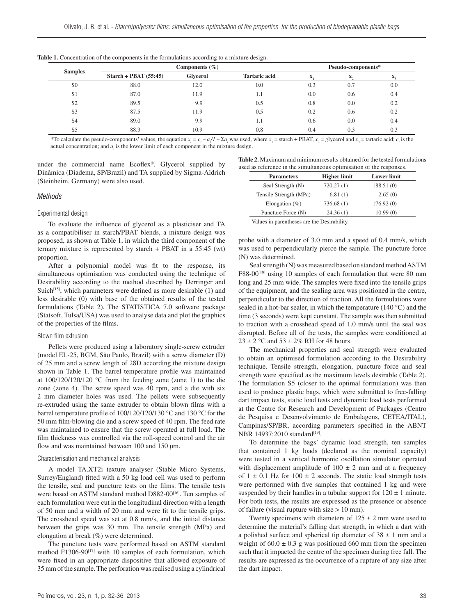| <b>Samples</b> | Components $(\% )$      |          |                      | Pseudo-components* |     |     |
|----------------|-------------------------|----------|----------------------|--------------------|-----|-----|
|                | Starch + PBAT $(55:45)$ | Glycerol | <b>Tartaric acid</b> |                    |     |     |
| S <sub>0</sub> | 88.0                    | 12.0     | 0.0                  | 0.3                | 0.7 | 0.0 |
| S <sub>1</sub> | 87.0                    | 11.9     | 1.1                  | 0.0                | 0.6 | 0.4 |
| S <sub>2</sub> | 89.5                    | 9.9      | 0.5                  | 0.8                | 0.0 | 0.2 |
| S <sub>3</sub> | 87.5                    | 11.9     | 0.5                  | 0.2                | 0.6 | 0.2 |
| S <sub>4</sub> | 89.0                    | 9.9      | 1.1                  | 0.6                | 0.0 | 0.4 |
| S5             | 88.3                    | 10.9     | 0.8                  | 0.4                | 0.3 | 0.3 |

| <b>Table 1.</b> Concentration of the components in the formulations according to a mixture design. |  |  |  |  |
|----------------------------------------------------------------------------------------------------|--|--|--|--|
|                                                                                                    |  |  |  |  |

\*To calculate the pseudo-components' values, the equation  $x_i = c_i - a/1 - \sum a_i$  was used, where  $x_i$  = starch + PBAT,  $x_2$  = glycerol and  $x_3$  = tartaric acid;  $c_i$  is the actual concentration; and  $a_i$  is the lower limit of each component in the mixture design.

under the commercial name Ecoflex®. Glycerol supplied by Dinâmica (Diadema, SP/Brazil) and TA supplied by Sigma-Aldrich (Steinheim, Germany) were also used.

# *Methods*

# Experimental design

To evaluate the influence of glycerol as a plasticiser and TA as a compatibiliser in starch/PBAT blends, a mixture design was proposed, as shown at Table 1, in which the third component of the ternary mixture is represented by starch + PBAT in a 55:45 (wt) proportion.

After a polynomial model was fit to the response, its simultaneous optimisation was conducted using the technique of Desirability according to the method described by Derringer and Suich<sup>[15]</sup>, which parameters were defined as more desirable  $(1)$  and less desirable (0) with base of the obtained results of the tested formulations (Table 2). The STATISTICA 7.0 software package (Statsoft, Tulsa/USA) was used to analyse data and plot the graphics of the properties of the films.

#### Blown film extrusion

Pellets were produced using a laboratory single-screw extruder (model EL-25, BGM, São Paulo, Brazil) with a screw diameter (D) of 25 mm and a screw length of 28D according the mixture design shown in Table 1. The barrel temperature profile was maintained at 100/120/120/120 °C from the feeding zone (zone 1) to the die zone (zone 4). The screw speed was 40 rpm, and a die with six 2 mm diameter holes was used. The pellets were subsequently re-extruded using the same extruder to obtain blown films with a barrel temperature profile of 100/120/120/130 °C and 130 °C for the 50 mm film-blowing die and a screw speed of 40 rpm. The feed rate was maintained to ensure that the screw operated at full load. The film thickness was controlled via the roll-speed control and the air flow and was maintained between 100 and 150 µm.

#### Characterisation and mechanical analysis

A model [TA.XT2](TA.XT)i texture analyser (Stable Micro Systems, Surrey/England) fitted with a 50 kg load cell was used to perform the tensile, seal and puncture tests on the films. The tensile tests were based on ASTM standard method D882-00<sup>[16]</sup>. Ten samples of each formulation were cut in the longitudinal direction with a length of 50 mm and a width of 20 mm and were fit to the tensile grips. The crosshead speed was set at 0.8 mm/s, and the initial distance between the grips was 30 mm. The tensile strength (MPa) and elongation at break (%) were determined.

The puncture tests were performed based on ASTM standard method F1306-90<sup>[17]</sup> with 10 samples of each formulation, which were fixed in an appropriate dispositive that allowed exposure of 35 mm of the sample. The perforation was realised using a cylindrical

**Table 2.** Maximum and minimum results obtained for the tested formulations used as reference in the simultaneous optimisation of the responses

| <b>Parameters</b>      | <b>Higher limit</b> | <b>Lower limit</b> |  |
|------------------------|---------------------|--------------------|--|
| Seal Strength (N)      | 720.27(1)           | 188.51(0)          |  |
| Tensile Strength (MPa) | 6.81(1)             | 2.65(0)            |  |
| Elongation $(\% )$     | 736.68 (1)          | 176.92(0)          |  |
| Puncture Force (N)     | 24.36(1)            | 10.99(0)           |  |

Values in parentheses are the Desirability.

probe with a diameter of 3.0 mm and a speed of 0.4 mm/s, which was used to perpendicularly pierce the sample. The puncture force (N) was determined.

Seal strength (N) was measured based on standard method ASTM F88-00<sup>[18]</sup> using 10 samples of each formulation that were 80 mm long and 25 mm wide. The samples were fixed into the tensile grips of the equipment, and the sealing area was positioned in the centre, perpendicular to the direction of traction. All the formulations were sealed in a hot-bar sealer, in which the temperature (140 °C) and the time (3 seconds) were kept constant. The sample was then submitted to traction with a crosshead speed of 1.0 mm/s until the seal was disrupted. Before all of the tests, the samples were conditioned at  $23 \pm 2$  °C and  $53 \pm 2\%$  RH for 48 hours.

The mechanical properties and seal strength were evaluated to obtain an optimised formulation according to the Desirability technique. Tensile strength, elongation, puncture force and seal strength were specified as the maximum levels desirable (Table 2). The formulation S5 (closer to the optimal formulation) was then used to produce plastic bags, which were submitted to free-falling dart impact tests, static load tests and dynamic load tests performed at the Centre for Research and Development of Packages (Centro de Pesquisa e Desenvolvimento de Embalagens, CETEA/ITAL), Campinas/SP/BR, according parameters specified in the ABNT NBR 14937:2010 standard<sup>[19]</sup>.

To determine the bags' dynamic load strength, ten samples that contained 1 kg loads (declared as the nominal capacity) were tested in a vertical harmonic oscillation simulator operated with displacement amplitude of  $100 \pm 2$  mm and at a frequency of  $1 \pm 0.1$  Hz for  $100 \pm 2$  seconds. The static load strength tests were performed with five samples that contained 1 kg and were suspended by their handles in a tubular support for  $120 \pm 1$  minute. For both tests, the results are expressed as the presence or absence of failure (visual rupture with size > 10 mm).

Twenty specimens with diameters of  $125 \pm 2$  mm were used to determine the material's falling dart strength, in which a dart with a polished surface and spherical tip diameter of  $38 \pm 1$  mm and a weight of  $60.0 \pm 0.3$  g was positioned 660 mm from the specimen such that it impacted the centre of the specimen during free fall. The results are expressed as the occurrence of a rupture of any size after the dart impact.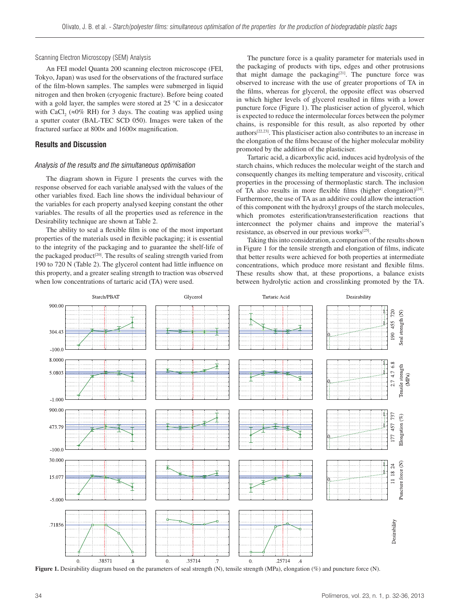# Scanning Electron Microscopy (SEM) Analysis

An FEI model Quanta 200 scanning electron microscope (FEI, Tokyo, Japan) was used for the observations of the fractured surface of the film-blown samples. The samples were submerged in liquid nitrogen and then broken (cryogenic fracture). Before being coated with a gold layer, the samples were stored at 25 °C in a desiccator with CaCl<sub>2</sub> ( $\approx$ 0% RH) for 3 days. The coating was applied using a sputter coater (BAL-TEC SCD 050). Images were taken of the fractured surface at 800× and 1600× magnification.

# **Results and Discussion**

# *Analysis of the results and the simultaneous optimisation*

The diagram shown in Figure 1 presents the curves with the response observed for each variable analysed with the values of the other variables fixed. Each line shows the individual behaviour of the variables for each property analysed keeping constant the other variables. The results of all the properties used as reference in the Desirability technique are shown at Table 2.

The ability to seal a flexible film is one of the most important properties of the materials used in flexible packaging; it is essential to the integrity of the packaging and to guarantee the shelf-life of the packaged product<sup>[20]</sup>. The results of sealing strength varied from 190 to 720 N (Table 2). The glycerol content had little influence on this property, and a greater sealing strength to traction was observed when low concentrations of tartaric acid (TA) were used.

The puncture force is a quality parameter for materials used in the packaging of products with tips, edges and other protrusions that might damage the packaging $[21]$ . The puncture force was observed to increase with the use of greater proportions of TA in the films, whereas for glycerol, the opposite effect was observed in which higher levels of glycerol resulted in films with a lower puncture force (Figure 1). The plasticiser action of glycerol, which is expected to reduce the intermolecular forces between the polymer chains, is responsible for this result, as also reported by other authors[22,23]. This plasticiser action also contributes to an increase in the elongation of the films because of the higher molecular mobility promoted by the addition of the plasticiser.

Tartaric acid, a dicarboxylic acid, induces acid hydrolysis of the starch chains, which reduces the molecular weight of the starch and consequently changes its melting temperature and viscosity, critical properties in the processing of thermoplastic starch. The inclusion of TA also results in more flexible films (higher elongation)<sup>[24]</sup>. Furthermore, the use of TA as an additive could allow the interaction of this component with the hydroxyl groups of the starch molecules, which promotes esterification/transesterification reactions that interconnect the polymer chains and improve the material's resistance, as observed in our previous works<sup>[25]</sup>.

Taking this into consideration, a comparison of the results shown in Figure 1 for the tensile strength and elongation of films, indicate that better results were achieved for both properties at intermediate concentrations, which produce more resistant and flexible films. These results show that, at these proportions, a balance exists between hydrolytic action and crosslinking promoted by the TA.



**Figure 1.** Desirability diagram based on the parameters of seal strength (N), tensile strength (MPa), elongation (%) and puncture force (N).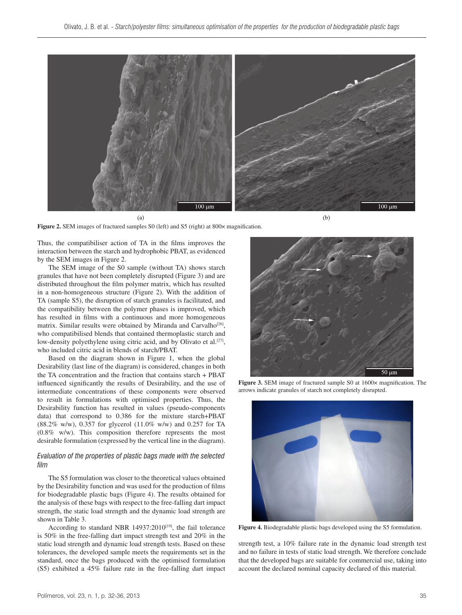

 $(a)$ 

 $(b)$ 

Figure 2. SEM images of fractured samples S0 (left) and S5 (right) at 800 $\times$  magnification.

Thus, the compatibiliser action of TA in the films improves the interaction between the starch and hydrophobic PBAT, as evidenced by the SEM images in Figure 2.

The SEM image of the S0 sample (without TA) shows starch granules that have not been completely disrupted (Figure 3) and are distributed throughout the film polymer matrix, which has resulted in a non-homogeneous structure (Figure 2). With the addition of TA (sample S5), the disruption of starch granules is facilitated, and the compatibility between the polymer phases is improved, which has resulted in films with a continuous and more homogeneous matrix. Similar results were obtained by Miranda and Carvalho<sup>[26]</sup>, who compatibilised blends that contained thermoplastic starch and low-density polyethylene using citric acid, and by Olivato et al.<sup>[27]</sup>, who included citric acid in blends of starch/PBAT.

Based on the diagram shown in Figure 1, when the global Desirability (last line of the diagram) is considered, changes in both the TA concentration and the fraction that contains starch + PBAT influenced significantly the results of Desirability, and the use of intermediate concentrations of these components were observed to result in formulations with optimised properties. Thus, the Desirability function has resulted in values (pseudo-components data) that correspond to 0.386 for the mixture starch+PBAT (88.2% w/w), 0.357 for glycerol (11.0% w/w) and 0.257 for TA (0.8% w/w). This composition therefore represents the most desirable formulation (expressed by the vertical line in the diagram).

# *Evaluation of the properties of plastic bags made with the selected film*

The S5 formulation was closer to the theoretical values obtained by the Desirability function and was used for the production of films for biodegradable plastic bags (Figure 4). The results obtained for the analysis of these bags with respect to the free-falling dart impact strength, the static load strength and the dynamic load strength are shown in Table 3.

According to standard NBR 14937:2010<sup>[19]</sup>, the fail tolerance is 50% in the free-falling dart impact strength test and 20% in the static load strength and dynamic load strength tests. Based on these tolerances, the developed sample meets the requirements set in the standard, once the bags produced with the optimised formulation (S5) exhibited a 45% failure rate in the free-falling dart impact



**Figure 3.** SEM image of fractured sample S0 at 1600× magnification. The arrows indicate granules of starch not completely disrupted.



**Figure 4.** Biodegradable plastic bags developed using the S5 formulation.

strength test, a 10% failure rate in the dynamic load strength test and no failure in tests of static load strength. We therefore conclude that the developed bags are suitable for commercial use, taking into account the declared nominal capacity declared of this material.